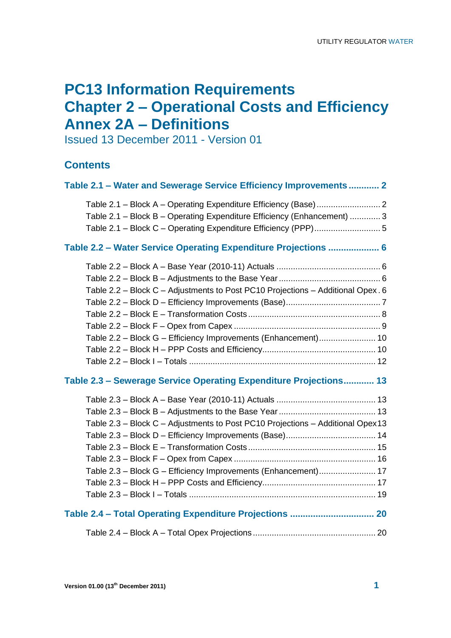# **PC13 Information Requirements Chapter 2 – Operational Costs and Efficiency Annex 2A – Definitions**

Issued 13 December 2011 - Version 01

### **Contents**

| Table 2.1 - Water and Sewerage Service Efficiency Improvements  2                                                                                 |
|---------------------------------------------------------------------------------------------------------------------------------------------------|
| Table 2.1 - Block B - Operating Expenditure Efficiency (Enhancement)  3                                                                           |
| Table 2.2 - Water Service Operating Expenditure Projections  6                                                                                    |
| Table 2.2 - Block C - Adjustments to Post PC10 Projections - Additional Opex. 6<br>Table 2.2 - Block G - Efficiency Improvements (Enhancement) 10 |
| Table 2.3 - Sewerage Service Operating Expenditure Projections 13                                                                                 |
| Table 2.3 - Block C - Adjustments to Post PC10 Projections - Additional Opex13<br>Table 2.3 - Block G - Efficiency Improvements (Enhancement) 17  |
|                                                                                                                                                   |
|                                                                                                                                                   |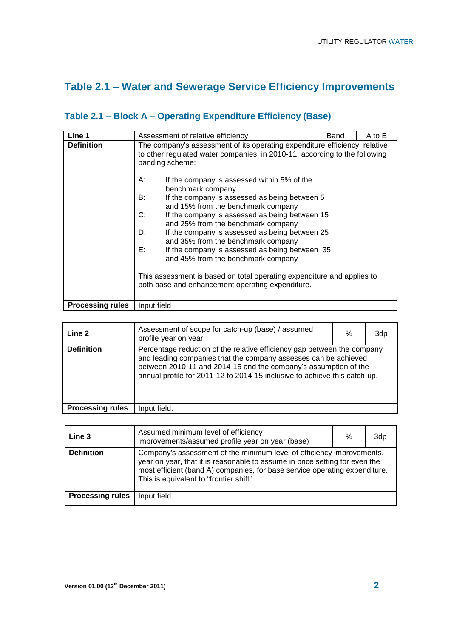# **Table 2.1 – Water and Sewerage Service Efficiency Improvements**

| Line 1                  | Assessment of relative efficiency<br>Band                                                                                                                                                                                                                                                                                                                                                                                                                                                                                                                                                                                                    | A to E |
|-------------------------|----------------------------------------------------------------------------------------------------------------------------------------------------------------------------------------------------------------------------------------------------------------------------------------------------------------------------------------------------------------------------------------------------------------------------------------------------------------------------------------------------------------------------------------------------------------------------------------------------------------------------------------------|--------|
| <b>Definition</b>       | The company's assessment of its operating expenditure efficiency, relative<br>to other regulated water companies, in 2010-11, according to the following<br>banding scheme:<br>А:<br>If the company is assessed within 5% of the<br>benchmark company<br>B:<br>If the company is assessed as being between 5<br>and 15% from the benchmark company<br>C:<br>If the company is assessed as being between 15<br>and 25% from the benchmark company<br>D:<br>If the company is assessed as being between 25<br>and 35% from the benchmark company<br>E:<br>If the company is assessed as being between 35<br>and 45% from the benchmark company |        |
|                         | This assessment is based on total operating expenditure and applies to<br>both base and enhancement operating expenditure.                                                                                                                                                                                                                                                                                                                                                                                                                                                                                                                   |        |
| <b>Processing rules</b> | Input field                                                                                                                                                                                                                                                                                                                                                                                                                                                                                                                                                                                                                                  |        |

## **Table 2.1 – Block A – Operating Expenditure Efficiency (Base)**

| Line 2                  | Assessment of scope for catch-up (base) / assumed<br>profile year on year                                                                                                                                                                                                                  | % | 3dp |
|-------------------------|--------------------------------------------------------------------------------------------------------------------------------------------------------------------------------------------------------------------------------------------------------------------------------------------|---|-----|
| <b>Definition</b>       | Percentage reduction of the relative efficiency gap between the company<br>and leading companies that the company assesses can be achieved<br>between 2010-11 and 2014-15 and the company's assumption of the<br>annual profile for 2011-12 to 2014-15 inclusive to achieve this catch-up. |   |     |
| <b>Processing rules</b> | Input field.                                                                                                                                                                                                                                                                               |   |     |

| Line 3                  | Assumed minimum level of efficiency<br>improvements/assumed profile year on year (base)                                                                                                                                                                                       | % | 3dp |
|-------------------------|-------------------------------------------------------------------------------------------------------------------------------------------------------------------------------------------------------------------------------------------------------------------------------|---|-----|
| <b>Definition</b>       | Company's assessment of the minimum level of efficiency improvements,<br>year on year, that it is reasonable to assume in price setting for even the<br>most efficient (band A) companies, for base service operating expenditure.<br>This is equivalent to "frontier shift". |   |     |
| <b>Processing rules</b> | Input field                                                                                                                                                                                                                                                                   |   |     |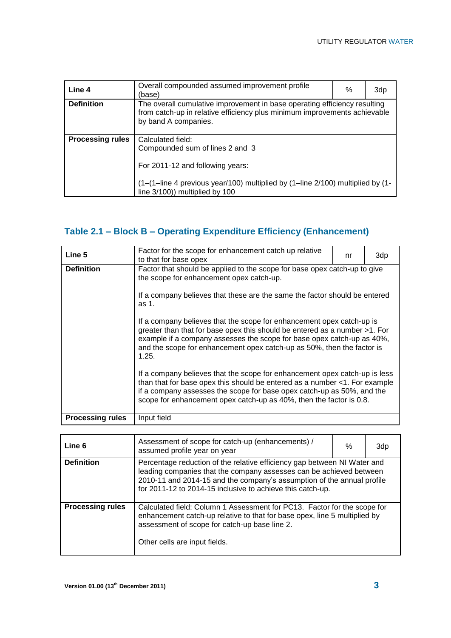| Line 4                  | Overall compounded assumed improvement profile<br>(base)                                                                                                                       | % | 3dp |
|-------------------------|--------------------------------------------------------------------------------------------------------------------------------------------------------------------------------|---|-----|
| <b>Definition</b>       | The overall cumulative improvement in base operating efficiency resulting<br>from catch-up in relative efficiency plus minimum improvements achievable<br>by band A companies. |   |     |
| <b>Processing rules</b> | Calculated field:<br>Compounded sum of lines 2 and 3<br>For 2011-12 and following years:                                                                                       |   |     |
|                         | (1-(1-line 4 previous year/100) multiplied by (1-line 2/100) multiplied by (1-<br>line 3/100)) multiplied by 100                                                               |   |     |

## **Table 2.1 – Block B – Operating Expenditure Efficiency (Enhancement)**

| Line 5                  | Factor for the scope for enhancement catch up relative<br>to that for base opex                                                                                                                                                                                                                                                                                                                         | nr | 3dp |  |
|-------------------------|---------------------------------------------------------------------------------------------------------------------------------------------------------------------------------------------------------------------------------------------------------------------------------------------------------------------------------------------------------------------------------------------------------|----|-----|--|
| <b>Definition</b>       | Factor that should be applied to the scope for base opex catch-up to give<br>the scope for enhancement opex catch-up.                                                                                                                                                                                                                                                                                   |    |     |  |
|                         | If a company believes that these are the same the factor should be entered<br>as 1.<br>If a company believes that the scope for enhancement opex catch-up is<br>greater than that for base opex this should be entered as a number >1. For<br>example if a company assesses the scope for base opex catch-up as 40%,<br>and the scope for enhancement opex catch-up as 50%, then the factor is<br>1.25. |    |     |  |
|                         |                                                                                                                                                                                                                                                                                                                                                                                                         |    |     |  |
|                         | If a company believes that the scope for enhancement opex catch-up is less<br>than that for base opex this should be entered as a number <1. For example<br>if a company assesses the scope for base opex catch-up as 50%, and the<br>scope for enhancement opex catch-up as 40%, then the factor is 0.8.                                                                                               |    |     |  |
| <b>Processing rules</b> | Input field                                                                                                                                                                                                                                                                                                                                                                                             |    |     |  |

| Line 6                  | Assessment of scope for catch-up (enhancements) /<br>assumed profile year on year                                                                                                                                                                                                       | ℅ | 3dp |  |
|-------------------------|-----------------------------------------------------------------------------------------------------------------------------------------------------------------------------------------------------------------------------------------------------------------------------------------|---|-----|--|
| <b>Definition</b>       | Percentage reduction of the relative efficiency gap between NI Water and<br>leading companies that the company assesses can be achieved between<br>2010-11 and 2014-15 and the company's assumption of the annual profile<br>for 2011-12 to 2014-15 inclusive to achieve this catch-up. |   |     |  |
| <b>Processing rules</b> | Calculated field: Column 1 Assessment for PC13. Factor for the scope for<br>enhancement catch-up relative to that for base opex, line 5 multiplied by<br>assessment of scope for catch-up base line 2.<br>Other cells are input fields.                                                 |   |     |  |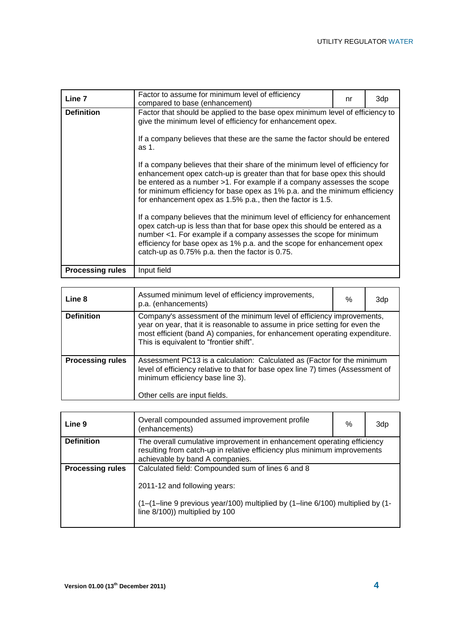| Line 7                  | Factor to assume for minimum level of efficiency<br>compared to base (enhancement)                                                                                                                                                                                                                                                                                              | nr | 3dp |
|-------------------------|---------------------------------------------------------------------------------------------------------------------------------------------------------------------------------------------------------------------------------------------------------------------------------------------------------------------------------------------------------------------------------|----|-----|
| <b>Definition</b>       | Factor that should be applied to the base opex minimum level of efficiency to<br>give the minimum level of efficiency for enhancement opex.                                                                                                                                                                                                                                     |    |     |
|                         | If a company believes that these are the same the factor should be entered<br>as 1.                                                                                                                                                                                                                                                                                             |    |     |
|                         | If a company believes that their share of the minimum level of efficiency for<br>enhancement opex catch-up is greater than that for base opex this should<br>be entered as a number >1. For example if a company assesses the scope<br>for minimum efficiency for base opex as 1% p.a. and the minimum efficiency<br>for enhancement opex as 1.5% p.a., then the factor is 1.5. |    |     |
|                         | If a company believes that the minimum level of efficiency for enhancement<br>opex catch-up is less than that for base opex this should be entered as a<br>number <1. For example if a company assesses the scope for minimum<br>efficiency for base opex as 1% p.a. and the scope for enhancement opex<br>catch-up as 0.75% p.a. then the factor is 0.75.                      |    |     |
| <b>Processing rules</b> | Input field                                                                                                                                                                                                                                                                                                                                                                     |    |     |

| Line 8                  | Assumed minimum level of efficiency improvements,<br>p.a. (enhancements)                                                                                                                                                                                                     | $\%$ | 3dp |
|-------------------------|------------------------------------------------------------------------------------------------------------------------------------------------------------------------------------------------------------------------------------------------------------------------------|------|-----|
| <b>Definition</b>       | Company's assessment of the minimum level of efficiency improvements,<br>year on year, that it is reasonable to assume in price setting for even the<br>most efficient (band A) companies, for enhancement operating expenditure.<br>This is equivalent to "frontier shift". |      |     |
| <b>Processing rules</b> | Assessment PC13 is a calculation: Calculated as (Factor for the minimum<br>level of efficiency relative to that for base opex line 7) times (Assessment of<br>minimum efficiency base line 3).<br>Other cells are input fields.                                              |      |     |

| Line 9                  | Overall compounded assumed improvement profile<br>(enhancements)                                                                                                                                                   | % | 3dp |
|-------------------------|--------------------------------------------------------------------------------------------------------------------------------------------------------------------------------------------------------------------|---|-----|
| <b>Definition</b>       | The overall cumulative improvement in enhancement operating efficiency<br>resulting from catch-up in relative efficiency plus minimum improvements<br>achievable by band A companies.                              |   |     |
| <b>Processing rules</b> | Calculated field: Compounded sum of lines 6 and 8<br>2011-12 and following years:<br>$(1-(1))$ -line 9 previous year/100) multiplied by $(1)$ -line 6/100) multiplied by $(1)$ -<br>line 8/100)) multiplied by 100 |   |     |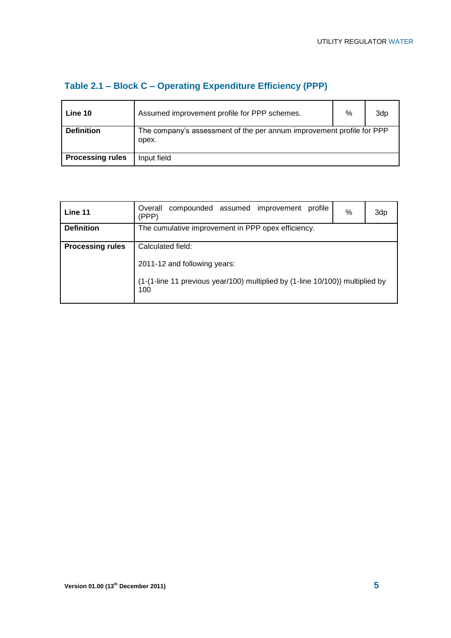| Line 10                 | Assumed improvement profile for PPP schemes.                                   | % | 3dp |
|-------------------------|--------------------------------------------------------------------------------|---|-----|
| <b>Definition</b>       | The company's assessment of the per annum improvement profile for PPP<br>opex. |   |     |
| <b>Processing rules</b> | Input field                                                                    |   |     |

## **Table 2.1 – Block C – Operating Expenditure Efficiency (PPP)**

| Line 11                 | compounded assumed improvement<br>Overall<br>profile<br>(PPP)                            | % | 3dp |
|-------------------------|------------------------------------------------------------------------------------------|---|-----|
| <b>Definition</b>       | The cumulative improvement in PPP opex efficiency.                                       |   |     |
| <b>Processing rules</b> | Calculated field:                                                                        |   |     |
|                         | 2011-12 and following years:                                                             |   |     |
|                         | $(1-(1-line 11)$ previous year/100) multiplied by $(1-line 10/100)$ multiplied by<br>100 |   |     |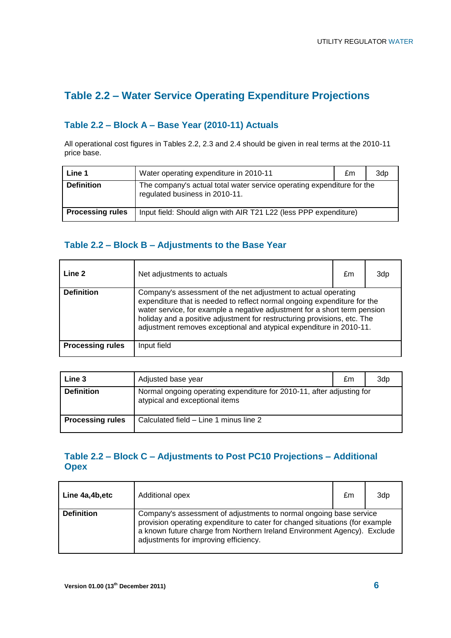## **Table 2.2 – Water Service Operating Expenditure Projections**

### **Table 2.2 – Block A – Base Year (2010-11) Actuals**

All operational cost figures in Tables 2.2, 2.3 and 2.4 should be given in real terms at the 2010-11 price base.

| Line 1                  | Water operating expenditure in 2010-11                                                                   | £m | 3dp |
|-------------------------|----------------------------------------------------------------------------------------------------------|----|-----|
| <b>Definition</b>       | The company's actual total water service operating expenditure for the<br>regulated business in 2010-11. |    |     |
| <b>Processing rules</b> | Input field: Should align with AIR T21 L22 (less PPP expenditure)                                        |    |     |

#### **Table 2.2 – Block B – Adjustments to the Base Year**

| Line 2                  | Net adjustments to actuals                                                                                                                                                                                                                                                                                                                                                 | £m | 3dp |
|-------------------------|----------------------------------------------------------------------------------------------------------------------------------------------------------------------------------------------------------------------------------------------------------------------------------------------------------------------------------------------------------------------------|----|-----|
| <b>Definition</b>       | Company's assessment of the net adjustment to actual operating<br>expenditure that is needed to reflect normal ongoing expenditure for the<br>water service, for example a negative adjustment for a short term pension<br>holiday and a positive adjustment for restructuring provisions, etc. The<br>adjustment removes exceptional and atypical expenditure in 2010-11. |    |     |
| <b>Processing rules</b> | Input field                                                                                                                                                                                                                                                                                                                                                                |    |     |

| Line 3                  | Adjusted base year                                                                                      | £m | 3dp |
|-------------------------|---------------------------------------------------------------------------------------------------------|----|-----|
| <b>Definition</b>       | Normal ongoing operating expenditure for 2010-11, after adjusting for<br>atypical and exceptional items |    |     |
| <b>Processing rules</b> | Calculated field – Line 1 minus line 2                                                                  |    |     |

#### **Table 2.2 – Block C – Adjustments to Post PC10 Projections – Additional Opex**

| Line 4a,4b,etc    | Additional opex                                                                                                                                                                                                                                                         | £m | 3dp |
|-------------------|-------------------------------------------------------------------------------------------------------------------------------------------------------------------------------------------------------------------------------------------------------------------------|----|-----|
| <b>Definition</b> | Company's assessment of adjustments to normal ongoing base service<br>provision operating expenditure to cater for changed situations (for example<br>a known future charge from Northern Ireland Environment Agency). Exclude<br>adjustments for improving efficiency. |    |     |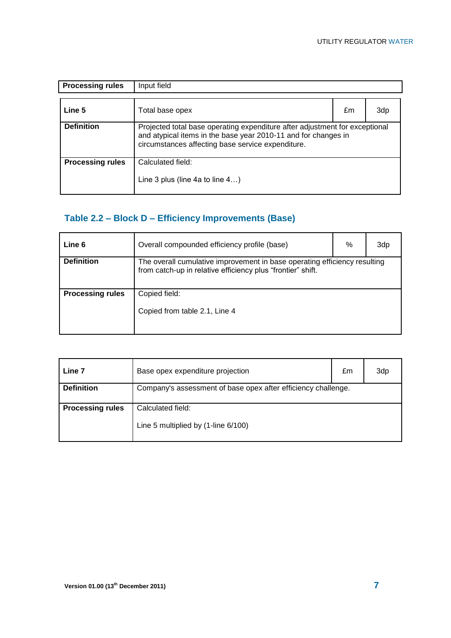| <b>Processing rules</b> | Input field                                                                                                                                                                                        |    |     |
|-------------------------|----------------------------------------------------------------------------------------------------------------------------------------------------------------------------------------------------|----|-----|
| Line 5                  | Total base opex                                                                                                                                                                                    | £m | 3dp |
| <b>Definition</b>       | Projected total base operating expenditure after adjustment for exceptional<br>and atypical items in the base year 2010-11 and for changes in<br>circumstances affecting base service expenditure. |    |     |
| <b>Processing rules</b> | Calculated field:<br>Line 3 plus (line 4a to line $4$ )                                                                                                                                            |    |     |

# **Table 2.2 – Block D – Efficiency Improvements (Base)**

| Line <sub>6</sub>       | Overall compounded efficiency profile (base)                                                                                             | % | 3dp |
|-------------------------|------------------------------------------------------------------------------------------------------------------------------------------|---|-----|
| <b>Definition</b>       | The overall cumulative improvement in base operating efficiency resulting<br>from catch-up in relative efficiency plus "frontier" shift. |   |     |
| <b>Processing rules</b> | Copied field:<br>Copied from table 2.1, Line 4                                                                                           |   |     |

| Line 7                  | Base opex expenditure projection                              | £m | 3dp |
|-------------------------|---------------------------------------------------------------|----|-----|
| <b>Definition</b>       | Company's assessment of base opex after efficiency challenge. |    |     |
| <b>Processing rules</b> | Calculated field:<br>Line 5 multiplied by (1-line 6/100)      |    |     |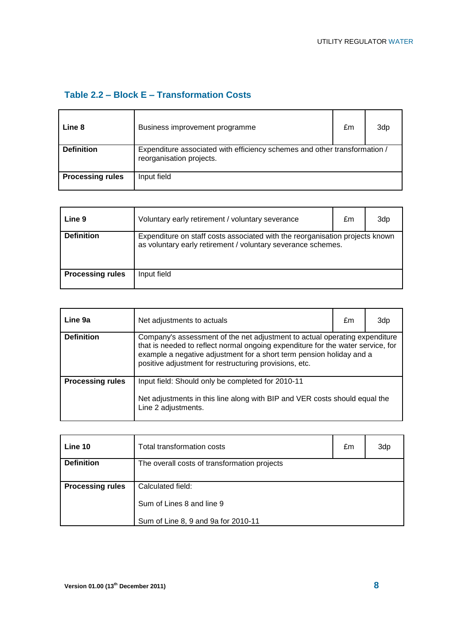#### **Table 2.2 – Block E – Transformation Costs**

| Line 8                  | Business improvement programme                                                                        | £m | 3dp |
|-------------------------|-------------------------------------------------------------------------------------------------------|----|-----|
| <b>Definition</b>       | Expenditure associated with efficiency schemes and other transformation /<br>reorganisation projects. |    |     |
| <b>Processing rules</b> | Input field                                                                                           |    |     |

| Line 9                  | Voluntary early retirement / voluntary severance                                                                                             | £m | 3dp |
|-------------------------|----------------------------------------------------------------------------------------------------------------------------------------------|----|-----|
| <b>Definition</b>       | Expenditure on staff costs associated with the reorganisation projects known<br>as voluntary early retirement / voluntary severance schemes. |    |     |
| <b>Processing rules</b> | Input field                                                                                                                                  |    |     |

| Line 9a                 | Net adjustments to actuals                                                                                                                                                                                                                                                                      | £m | 3dp |
|-------------------------|-------------------------------------------------------------------------------------------------------------------------------------------------------------------------------------------------------------------------------------------------------------------------------------------------|----|-----|
| <b>Definition</b>       | Company's assessment of the net adjustment to actual operating expenditure<br>that is needed to reflect normal ongoing expenditure for the water service, for<br>example a negative adjustment for a short term pension holiday and a<br>positive adjustment for restructuring provisions, etc. |    |     |
| <b>Processing rules</b> | Input field: Should only be completed for 2010-11<br>Net adjustments in this line along with BIP and VER costs should equal the<br>Line 2 adjustments.                                                                                                                                          |    |     |

| Line 10                 | Total transformation costs                   | £m | 3dp |
|-------------------------|----------------------------------------------|----|-----|
| <b>Definition</b>       | The overall costs of transformation projects |    |     |
| <b>Processing rules</b> | Calculated field:                            |    |     |
|                         | Sum of Lines 8 and line 9                    |    |     |
|                         | Sum of Line 8, 9 and 9a for 2010-11          |    |     |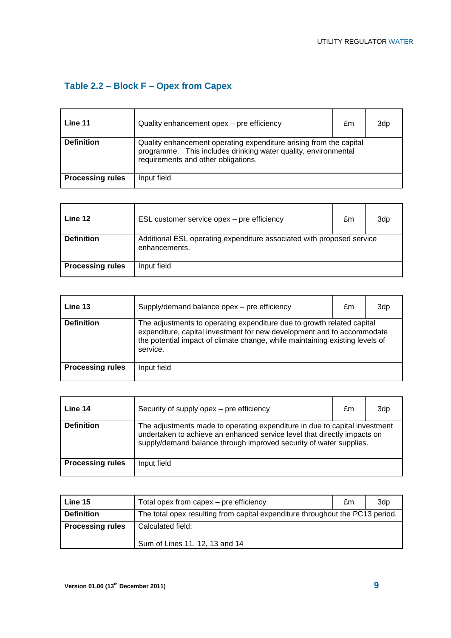# **Table 2.2 – Block F – Opex from Capex**

| Line 11                 | Quality enhancement opex - pre efficiency                                                                                                                                   | £m | 3d <sub>p</sub> |
|-------------------------|-----------------------------------------------------------------------------------------------------------------------------------------------------------------------------|----|-----------------|
| <b>Definition</b>       | Quality enhancement operating expenditure arising from the capital<br>programme. This includes drinking water quality, environmental<br>requirements and other obligations. |    |                 |
| <b>Processing rules</b> | Input field                                                                                                                                                                 |    |                 |

| Line 12                 | ESL customer service opex – pre efficiency                                             | £m | 3dp |
|-------------------------|----------------------------------------------------------------------------------------|----|-----|
| <b>Definition</b>       | Additional ESL operating expenditure associated with proposed service<br>enhancements. |    |     |
| <b>Processing rules</b> | Input field                                                                            |    |     |

| Line 13                 | Supply/demand balance opex - pre efficiency                                                                                                                                                                                                  | £m | 3dp |
|-------------------------|----------------------------------------------------------------------------------------------------------------------------------------------------------------------------------------------------------------------------------------------|----|-----|
| <b>Definition</b>       | The adjustments to operating expenditure due to growth related capital<br>expenditure, capital investment for new development and to accommodate<br>the potential impact of climate change, while maintaining existing levels of<br>service. |    |     |
| <b>Processing rules</b> | Input field                                                                                                                                                                                                                                  |    |     |

| Line 14                 | Security of supply opex - pre efficiency                                                                                                                                                                                     | £m | 3dp |
|-------------------------|------------------------------------------------------------------------------------------------------------------------------------------------------------------------------------------------------------------------------|----|-----|
| <b>Definition</b>       | The adjustments made to operating expenditure in due to capital investment<br>undertaken to achieve an enhanced service level that directly impacts on<br>supply/demand balance through improved security of water supplies. |    |     |
| <b>Processing rules</b> | Input field                                                                                                                                                                                                                  |    |     |

| Line 15                 | Total opex from capex – pre efficiency                                        | £m | 3dp |
|-------------------------|-------------------------------------------------------------------------------|----|-----|
| <b>Definition</b>       | The total opex resulting from capital expenditure throughout the PC13 period. |    |     |
| <b>Processing rules</b> | Calculated field:                                                             |    |     |
|                         | Sum of Lines 11, 12, 13 and 14                                                |    |     |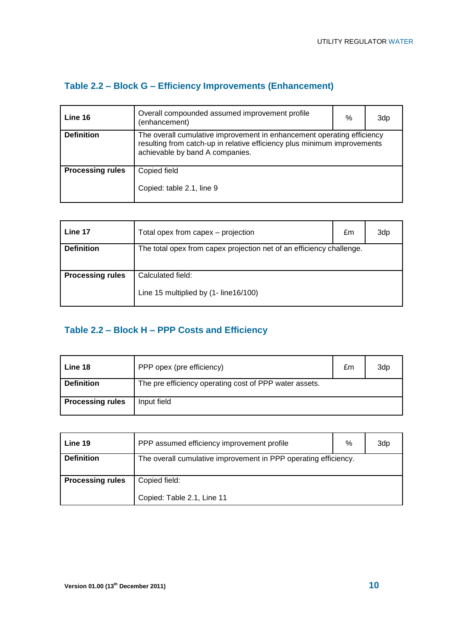| Table 2.2 - Block G - Efficiency Improvements (Enhancement) |  |  |
|-------------------------------------------------------------|--|--|
|-------------------------------------------------------------|--|--|

| Overall compounded assumed improvement profile<br>(enhancement) | % | 3dp                                                                                                                                                |
|-----------------------------------------------------------------|---|----------------------------------------------------------------------------------------------------------------------------------------------------|
| achievable by band A companies.                                 |   |                                                                                                                                                    |
| Copied field<br>Copied: table 2.1, line 9                       |   |                                                                                                                                                    |
|                                                                 |   | The overall cumulative improvement in enhancement operating efficiency<br>resulting from catch-up in relative efficiency plus minimum improvements |

| Line 17                 | Total opex from capex - projection                                   | £m | 3dp |
|-------------------------|----------------------------------------------------------------------|----|-----|
| <b>Definition</b>       | The total opex from capex projection net of an efficiency challenge. |    |     |
|                         |                                                                      |    |     |
| <b>Processing rules</b> | Calculated field:                                                    |    |     |
|                         | Line 15 multiplied by (1- line16/100)                                |    |     |

## **Table 2.2 – Block H – PPP Costs and Efficiency**

| Line 18                 | PPP opex (pre efficiency)                              | £m | 3dp |
|-------------------------|--------------------------------------------------------|----|-----|
| <b>Definition</b>       | The pre efficiency operating cost of PPP water assets. |    |     |
| <b>Processing rules</b> | Input field                                            |    |     |

| Line 19                 | PPP assumed efficiency improvement profile                      | % | 3dp |
|-------------------------|-----------------------------------------------------------------|---|-----|
| <b>Definition</b>       | The overall cumulative improvement in PPP operating efficiency. |   |     |
| <b>Processing rules</b> | Copied field:<br>Copied: Table 2.1, Line 11                     |   |     |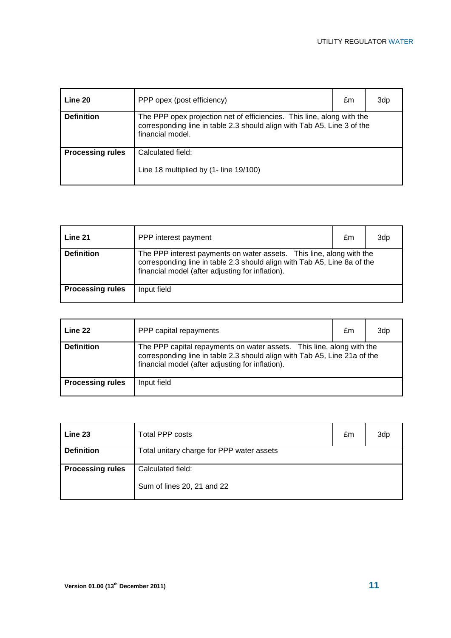| Line 20                 | PPP opex (post efficiency)                                                                                                                                            | £m | 3dp |
|-------------------------|-----------------------------------------------------------------------------------------------------------------------------------------------------------------------|----|-----|
| <b>Definition</b>       | The PPP opex projection net of efficiencies. This line, along with the<br>corresponding line in table 2.3 should align with Tab A5, Line 3 of the<br>financial model. |    |     |
| <b>Processing rules</b> | Calculated field:<br>Line 18 multiplied by (1- line 19/100)                                                                                                           |    |     |
|                         |                                                                                                                                                                       |    |     |

| Line 21                 | PPP interest payment                                                                                                                                                                                 | £m | 3dp |
|-------------------------|------------------------------------------------------------------------------------------------------------------------------------------------------------------------------------------------------|----|-----|
| <b>Definition</b>       | The PPP interest payments on water assets. This line, along with the<br>corresponding line in table 2.3 should align with Tab A5, Line 8a of the<br>financial model (after adjusting for inflation). |    |     |
| <b>Processing rules</b> | Input field                                                                                                                                                                                          |    |     |

| Line 22                 | PPP capital repayments                                                                                                                                                                                 | £m | 3dp |
|-------------------------|--------------------------------------------------------------------------------------------------------------------------------------------------------------------------------------------------------|----|-----|
| <b>Definition</b>       | The PPP capital repayments on water assets. This line, along with the<br>corresponding line in table 2.3 should align with Tab A5, Line 21a of the<br>financial model (after adjusting for inflation). |    |     |
| <b>Processing rules</b> | Input field                                                                                                                                                                                            |    |     |

| Line 23                 | <b>Total PPP costs</b>                          | £m | 3dp |
|-------------------------|-------------------------------------------------|----|-----|
| <b>Definition</b>       | Total unitary charge for PPP water assets       |    |     |
| <b>Processing rules</b> | Calculated field:<br>Sum of lines 20, 21 and 22 |    |     |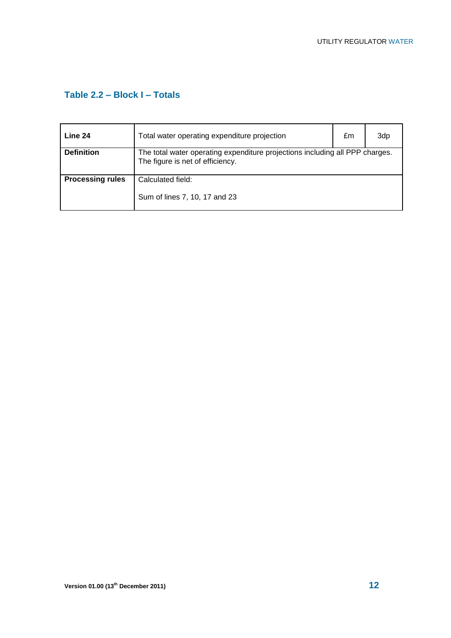#### **Table 2.2 – Block I – Totals**

| Line 24                 | Total water operating expenditure projection                                                                     | £m | 3dp |
|-------------------------|------------------------------------------------------------------------------------------------------------------|----|-----|
| <b>Definition</b>       | The total water operating expenditure projections including all PPP charges.<br>The figure is net of efficiency. |    |     |
| <b>Processing rules</b> | Calculated field:<br>Sum of lines 7, 10, 17 and 23                                                               |    |     |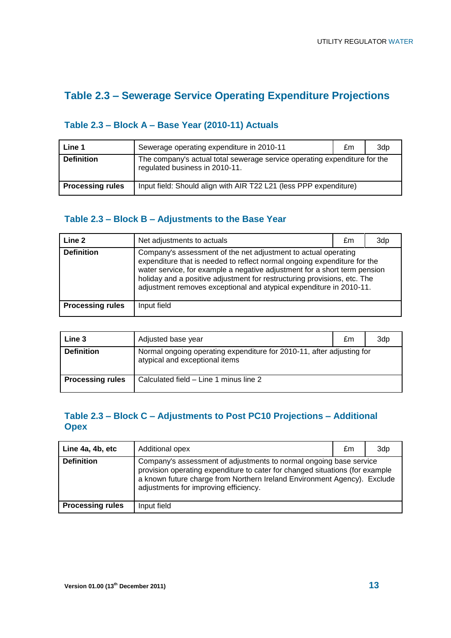## **Table 2.3 – Sewerage Service Operating Expenditure Projections**

#### **Table 2.3 – Block A – Base Year (2010-11) Actuals**

| Line 1                  | Sewerage operating expenditure in 2010-11                                                                   | £m | 3dp |
|-------------------------|-------------------------------------------------------------------------------------------------------------|----|-----|
| <b>Definition</b>       | The company's actual total sewerage service operating expenditure for the<br>regulated business in 2010-11. |    |     |
| <b>Processing rules</b> | Input field: Should align with AIR T22 L21 (less PPP expenditure)                                           |    |     |

#### **Table 2.3 – Block B – Adjustments to the Base Year**

| Line 2                  | Net adjustments to actuals                                                                                                                                                                                                                                                                                                                                                 | £m | 3dp |
|-------------------------|----------------------------------------------------------------------------------------------------------------------------------------------------------------------------------------------------------------------------------------------------------------------------------------------------------------------------------------------------------------------------|----|-----|
| <b>Definition</b>       | Company's assessment of the net adjustment to actual operating<br>expenditure that is needed to reflect normal ongoing expenditure for the<br>water service, for example a negative adjustment for a short term pension<br>holiday and a positive adjustment for restructuring provisions, etc. The<br>adjustment removes exceptional and atypical expenditure in 2010-11. |    |     |
| <b>Processing rules</b> | Input field                                                                                                                                                                                                                                                                                                                                                                |    |     |

| Line 3                  | Adjusted base year                                                                                      | £m | 3dp |
|-------------------------|---------------------------------------------------------------------------------------------------------|----|-----|
| <b>Definition</b>       | Normal ongoing operating expenditure for 2010-11, after adjusting for<br>atypical and exceptional items |    |     |
| <b>Processing rules</b> | Calculated field - Line 1 minus line 2                                                                  |    |     |

#### **Table 2.3 – Block C – Adjustments to Post PC10 Projections – Additional Opex**

| Line 4a, 4b, etc        | Additional opex                                                                                                                                                                                                                                                         | £m | 3dp |
|-------------------------|-------------------------------------------------------------------------------------------------------------------------------------------------------------------------------------------------------------------------------------------------------------------------|----|-----|
| <b>Definition</b>       | Company's assessment of adjustments to normal ongoing base service<br>provision operating expenditure to cater for changed situations (for example<br>a known future charge from Northern Ireland Environment Agency). Exclude<br>adjustments for improving efficiency. |    |     |
| <b>Processing rules</b> | Input field                                                                                                                                                                                                                                                             |    |     |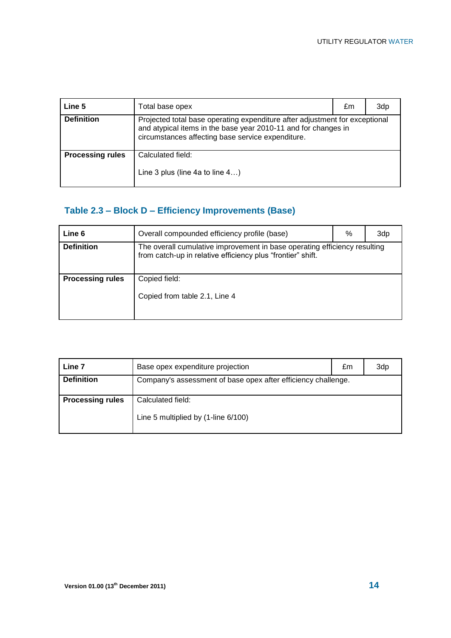| Line 5                  | Total base opex                                                                                                                                                                                    | £m | 3dp |
|-------------------------|----------------------------------------------------------------------------------------------------------------------------------------------------------------------------------------------------|----|-----|
| <b>Definition</b>       | Projected total base operating expenditure after adjustment for exceptional<br>and atypical items in the base year 2010-11 and for changes in<br>circumstances affecting base service expenditure. |    |     |
| <b>Processing rules</b> | Calculated field:<br>Line 3 plus (line 4a to line 4)                                                                                                                                               |    |     |

## **Table 2.3 – Block D – Efficiency Improvements (Base)**

| Line 6                  | Overall compounded efficiency profile (base)                                                                                             | % | 3dp |
|-------------------------|------------------------------------------------------------------------------------------------------------------------------------------|---|-----|
| <b>Definition</b>       | The overall cumulative improvement in base operating efficiency resulting<br>from catch-up in relative efficiency plus "frontier" shift. |   |     |
| <b>Processing rules</b> | Copied field:<br>Copied from table 2.1, Line 4                                                                                           |   |     |

| Line 7                  | Base opex expenditure projection                              | £m | 3dp |
|-------------------------|---------------------------------------------------------------|----|-----|
| <b>Definition</b>       | Company's assessment of base opex after efficiency challenge. |    |     |
| <b>Processing rules</b> | Calculated field:<br>Line 5 multiplied by (1-line 6/100)      |    |     |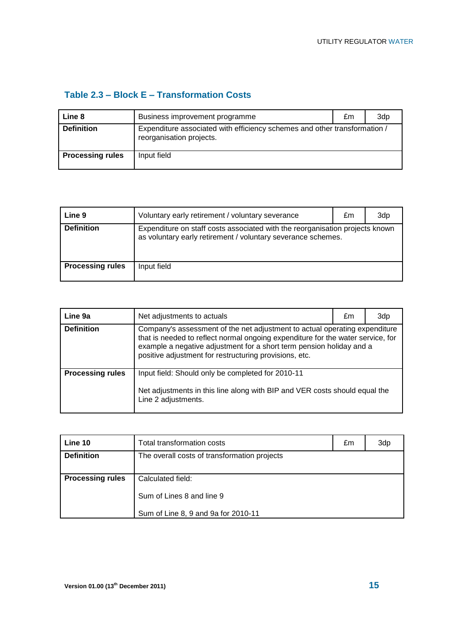#### **Table 2.3 – Block E – Transformation Costs**

| Line 8                  | Business improvement programme                                                                        | £m | 3dp |
|-------------------------|-------------------------------------------------------------------------------------------------------|----|-----|
| <b>Definition</b>       | Expenditure associated with efficiency schemes and other transformation /<br>reorganisation projects. |    |     |
| <b>Processing rules</b> | Input field                                                                                           |    |     |

| Line 9                  | Voluntary early retirement / voluntary severance                                                                                             | £m | 3dp |
|-------------------------|----------------------------------------------------------------------------------------------------------------------------------------------|----|-----|
| <b>Definition</b>       | Expenditure on staff costs associated with the reorganisation projects known<br>as voluntary early retirement / voluntary severance schemes. |    |     |
| <b>Processing rules</b> | Input field                                                                                                                                  |    |     |

| Line 9a                 | Net adjustments to actuals                                                                                                                                                                                                                                                                      | £m | 3dp |
|-------------------------|-------------------------------------------------------------------------------------------------------------------------------------------------------------------------------------------------------------------------------------------------------------------------------------------------|----|-----|
| <b>Definition</b>       | Company's assessment of the net adjustment to actual operating expenditure<br>that is needed to reflect normal ongoing expenditure for the water service, for<br>example a negative adjustment for a short term pension holiday and a<br>positive adjustment for restructuring provisions, etc. |    |     |
| <b>Processing rules</b> | Input field: Should only be completed for 2010-11<br>Net adjustments in this line along with BIP and VER costs should equal the<br>Line 2 adjustments.                                                                                                                                          |    |     |

| Line 10                 | Total transformation costs                   | £m | 3dp |
|-------------------------|----------------------------------------------|----|-----|
| <b>Definition</b>       | The overall costs of transformation projects |    |     |
| <b>Processing rules</b> | Calculated field:                            |    |     |
|                         | Sum of Lines 8 and line 9                    |    |     |
|                         | Sum of Line 8, 9 and 9a for 2010-11          |    |     |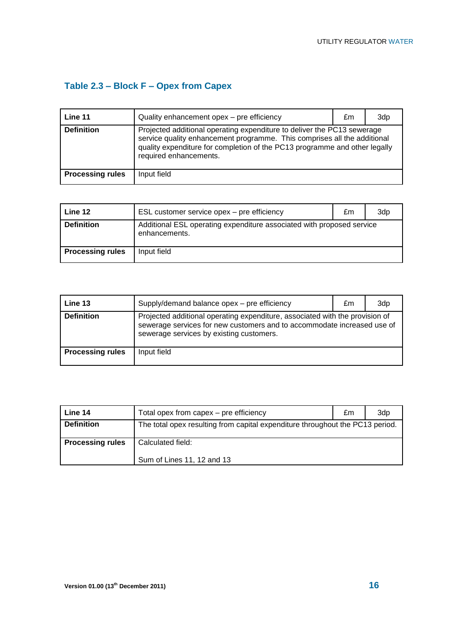# **Table 2.3 – Block F – Opex from Capex**

| Line 11                 | Quality enhancement opex - pre efficiency                                                                                                                                                                                                                   | £m | 3dp |
|-------------------------|-------------------------------------------------------------------------------------------------------------------------------------------------------------------------------------------------------------------------------------------------------------|----|-----|
| <b>Definition</b>       | Projected additional operating expenditure to deliver the PC13 sewerage<br>service quality enhancement programme. This comprises all the additional<br>quality expenditure for completion of the PC13 programme and other legally<br>required enhancements. |    |     |
| <b>Processing rules</b> | Input field                                                                                                                                                                                                                                                 |    |     |

| Line 12                 | ESL customer service opex – pre efficiency                                             | £m | 3d <sub>p</sub> |
|-------------------------|----------------------------------------------------------------------------------------|----|-----------------|
| <b>Definition</b>       | Additional ESL operating expenditure associated with proposed service<br>enhancements. |    |                 |
| <b>Processing rules</b> | Input field                                                                            |    |                 |

| Line 13                 | Supply/demand balance opex - pre efficiency                                                                                                                                                         | £m | 3dp |
|-------------------------|-----------------------------------------------------------------------------------------------------------------------------------------------------------------------------------------------------|----|-----|
| <b>Definition</b>       | Projected additional operating expenditure, associated with the provision of<br>sewerage services for new customers and to accommodate increased use of<br>sewerage services by existing customers. |    |     |
| <b>Processing rules</b> | Input field                                                                                                                                                                                         |    |     |

| Line 14                 | Total opex from capex – pre efficiency                                        | £m | 3dp |
|-------------------------|-------------------------------------------------------------------------------|----|-----|
| <b>Definition</b>       | The total opex resulting from capital expenditure throughout the PC13 period. |    |     |
| <b>Processing rules</b> | Calculated field:<br>Sum of Lines 11, 12 and 13                               |    |     |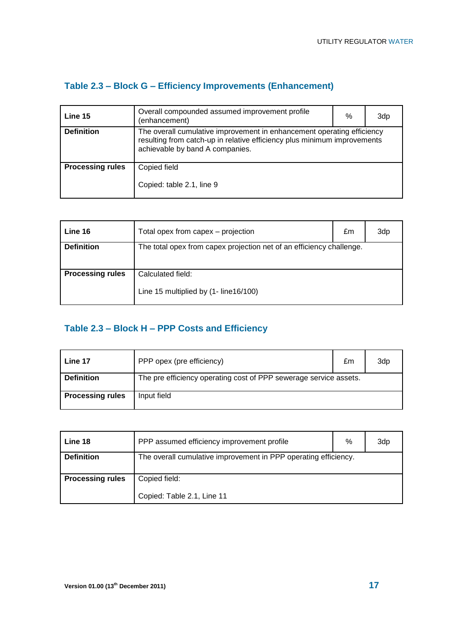### **Table 2.3 – Block G – Efficiency Improvements (Enhancement)**

| Line 15                 | Overall compounded assumed improvement profile<br>(enhancement)                                                                                                                       | % | 3dp |
|-------------------------|---------------------------------------------------------------------------------------------------------------------------------------------------------------------------------------|---|-----|
| <b>Definition</b>       | The overall cumulative improvement in enhancement operating efficiency<br>resulting from catch-up in relative efficiency plus minimum improvements<br>achievable by band A companies. |   |     |
| <b>Processing rules</b> | Copied field<br>Copied: table 2.1, line 9                                                                                                                                             |   |     |

| Line 16                 | Total opex from capex – projection                                   | £m | 3dp |
|-------------------------|----------------------------------------------------------------------|----|-----|
| <b>Definition</b>       | The total opex from capex projection net of an efficiency challenge. |    |     |
| <b>Processing rules</b> | Calculated field:<br>Line 15 multiplied by (1- line16/100)           |    |     |

### **Table 2.3 – Block H – PPP Costs and Efficiency**

| Line 17                 | PPP opex (pre efficiency)                                         | £m | 3dp |
|-------------------------|-------------------------------------------------------------------|----|-----|
| <b>Definition</b>       | The pre efficiency operating cost of PPP sewerage service assets. |    |     |
| <b>Processing rules</b> | Input field                                                       |    |     |

| Line 18                 | PPP assumed efficiency improvement profile                      | % | 3dp |
|-------------------------|-----------------------------------------------------------------|---|-----|
| <b>Definition</b>       | The overall cumulative improvement in PPP operating efficiency. |   |     |
| <b>Processing rules</b> | Copied field:<br>Copied: Table 2.1, Line 11                     |   |     |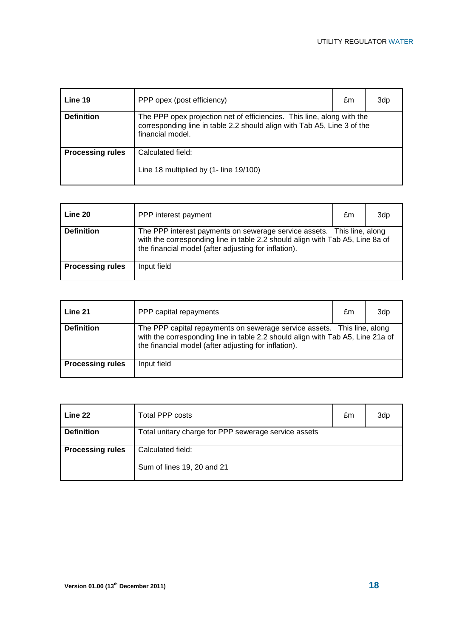| Line 19                 | PPP opex (post efficiency)                                                                                                                                            | £m | 3dp |
|-------------------------|-----------------------------------------------------------------------------------------------------------------------------------------------------------------------|----|-----|
| <b>Definition</b>       | The PPP opex projection net of efficiencies. This line, along with the<br>corresponding line in table 2.2 should align with Tab A5, Line 3 of the<br>financial model. |    |     |
| <b>Processing rules</b> | Calculated field:<br>Line 18 multiplied by (1- line 19/100)                                                                                                           |    |     |
|                         |                                                                                                                                                                       |    |     |

| Line 20                 | PPP interest payment                                                                                                                                                                                            | £m | 3dp |
|-------------------------|-----------------------------------------------------------------------------------------------------------------------------------------------------------------------------------------------------------------|----|-----|
| <b>Definition</b>       | The PPP interest payments on sewerage service assets. This line, along<br>with the corresponding line in table 2.2 should align with Tab A5, Line 8a of<br>the financial model (after adjusting for inflation). |    |     |
| <b>Processing rules</b> | Input field                                                                                                                                                                                                     |    |     |

| Line 21                 | PPP capital repayments                                                                                                                                                                                            | £m | 3dp |
|-------------------------|-------------------------------------------------------------------------------------------------------------------------------------------------------------------------------------------------------------------|----|-----|
| <b>Definition</b>       | The PPP capital repayments on sewerage service assets. This line, along<br>with the corresponding line in table 2.2 should align with Tab A5, Line 21a of<br>the financial model (after adjusting for inflation). |    |     |
| <b>Processing rules</b> | Input field                                                                                                                                                                                                       |    |     |

| Line 22                 | <b>Total PPP costs</b>                               | £m | 3dp |
|-------------------------|------------------------------------------------------|----|-----|
| <b>Definition</b>       | Total unitary charge for PPP sewerage service assets |    |     |
| <b>Processing rules</b> | Calculated field:                                    |    |     |
|                         | Sum of lines 19, 20 and 21                           |    |     |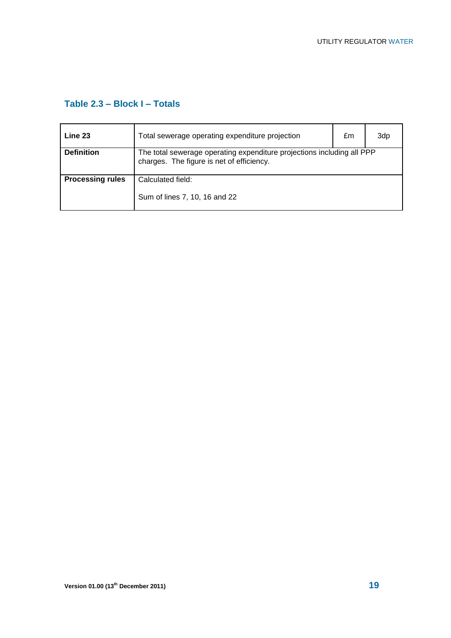#### **Table 2.3 – Block I – Totals**

| Line 23                 | Total sewerage operating expenditure projection                                                                     | £m | 3dp |
|-------------------------|---------------------------------------------------------------------------------------------------------------------|----|-----|
| <b>Definition</b>       | The total sewerage operating expenditure projections including all PPP<br>charges. The figure is net of efficiency. |    |     |
| <b>Processing rules</b> | Calculated field:<br>Sum of lines 7, 10, 16 and 22                                                                  |    |     |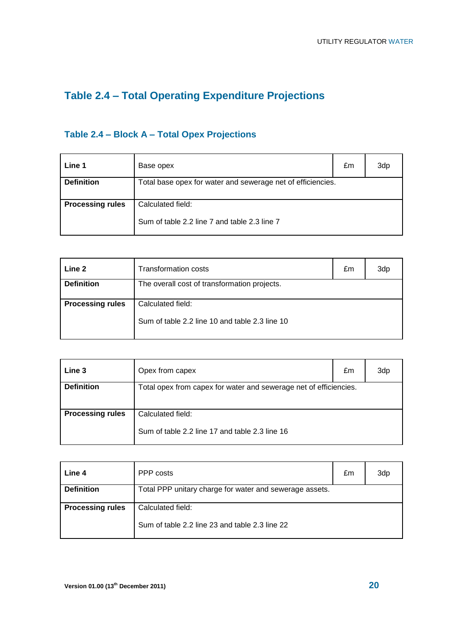# **Table 2.4 – Total Operating Expenditure Projections**

### **Table 2.4 – Block A – Total Opex Projections**

| Line 1                  | Base opex                                                         | £m | 3dp |
|-------------------------|-------------------------------------------------------------------|----|-----|
| <b>Definition</b>       | Total base opex for water and sewerage net of efficiencies.       |    |     |
| <b>Processing rules</b> | Calculated field:<br>Sum of table 2.2 line 7 and table 2.3 line 7 |    |     |

| Line 2                  | <b>Transformation costs</b>                                         | £m | 3dp |
|-------------------------|---------------------------------------------------------------------|----|-----|
| <b>Definition</b>       | The overall cost of transformation projects.                        |    |     |
| <b>Processing rules</b> | Calculated field:<br>Sum of table 2.2 line 10 and table 2.3 line 10 |    |     |

| Line 3                  | Opex from capex                                                   | £m | 3dp |
|-------------------------|-------------------------------------------------------------------|----|-----|
| <b>Definition</b>       | Total opex from capex for water and sewerage net of efficiencies. |    |     |
|                         |                                                                   |    |     |
| <b>Processing rules</b> | Calculated field:                                                 |    |     |
|                         | Sum of table 2.2 line 17 and table 2.3 line 16                    |    |     |

| Line 4                  | PPP costs                                                           | £m | 3dp |
|-------------------------|---------------------------------------------------------------------|----|-----|
| <b>Definition</b>       | Total PPP unitary charge for water and sewerage assets.             |    |     |
| <b>Processing rules</b> | Calculated field:<br>Sum of table 2.2 line 23 and table 2.3 line 22 |    |     |